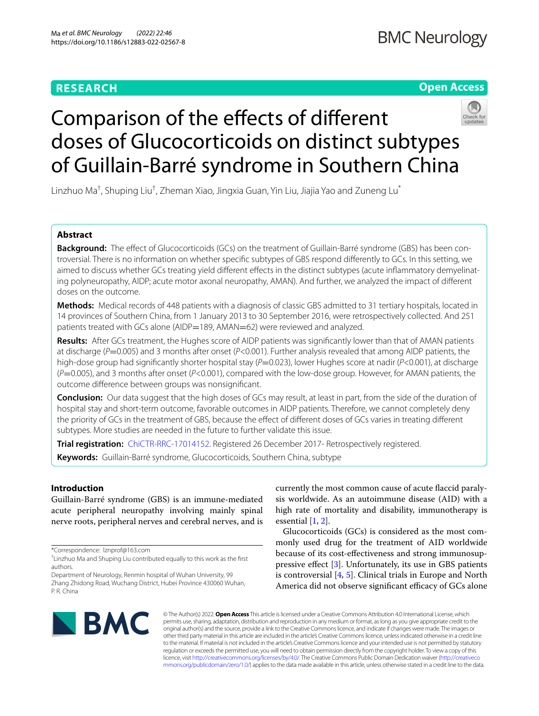# **RESEARCH**

**Open Access**

# Comparison of the efects of diferent doses of Glucocorticoids on distinct subtypes of Guillain-Barré syndrome in Southern China

Linzhuo Ma<sup>†</sup>, Shuping Liu<sup>†</sup>, Zheman Xiao, Jingxia Guan, Yin Liu, Jiajia Yao and Zuneng Lu<sup>\*</sup>

# **Abstract**

**Background:** The efect of Glucocorticoids (GCs) on the treatment of Guillain-Barré syndrome (GBS) has been controversial. There is no information on whether specifc subtypes of GBS respond diferently to GCs. In this setting, we aimed to discuss whether GCs treating yield diferent efects in the distinct subtypes (acute infammatory demyelinating polyneuropathy, AIDP; acute motor axonal neuropathy, AMAN). And further, we analyzed the impact of diferent doses on the outcome.

**Methods:** Medical records of 448 patients with a diagnosis of classic GBS admitted to 31 tertiary hospitals, located in 14 provinces of Southern China, from 1 January 2013 to 30 September 2016, were retrospectively collected. And 251 patients treated with GCs alone (AIDP=189, AMAN=62) were reviewed and analyzed.

**Results:** After GCs treatment, the Hughes score of AIDP patients was signifcantly lower than that of AMAN patients at discharge (*P*=0.005) and 3 months after onset (*P<*0.001). Further analysis revealed that among AIDP patients, the high-dose group had signifcantly shorter hospital stay (*P*=0.023), lower Hughes score at nadir (*P<*0.001), at discharge (*P*=0.005), and 3 months after onset (*P<*0.001), compared with the low-dose group. However, for AMAN patients, the outcome diference between groups was nonsignifcant.

**Conclusion:** Our data suggest that the high doses of GCs may result, at least in part, from the side of the duration of hospital stay and short-term outcome, favorable outcomes in AIDP patients. Therefore, we cannot completely deny the priority of GCs in the treatment of GBS, because the efect of diferent doses of GCs varies in treating diferent subtypes. More studies are needed in the future to further validate this issue.

**Trial registration:** [ChiCTR-RRC-17014152](http://www.chictr.org.cn/listbycreater.aspx). Registered 26 December 2017- Retrospectively registered.

**Keywords:** Guillain-Barré syndrome, Glucocorticoids, Southern China, subtype

# **Introduction**

Guillain-Barré syndrome (GBS) is an immune-mediated acute peripheral neuropathy involving mainly spinal nerve roots, peripheral nerves and cerebral nerves, and is

\*Correspondence: lznprof@163.com

Department of Neurology, Renmin hospital of Wuhan University, 99 Zhang Zhidong Road, Wuchang District, Hubei Province 430060 Wuhan, P. R. China

currently the most common cause of acute faccid paralysis worldwide. As an autoimmune disease (AID) with a high rate of mortality and disability, immunotherapy is essential  $[1, 2]$  $[1, 2]$  $[1, 2]$ .

Glucocorticoids (GCs) is considered as the most commonly used drug for the treatment of AID worldwide because of its cost-efectiveness and strong immunosuppressive efect [\[3\]](#page-6-2). Unfortunately, its use in GBS patients is controversial [[4,](#page-6-3) [5\]](#page-6-4). Clinical trials in Europe and North America did not observe significant efficacy of GCs alone



© The Author(s) 2022. **Open Access** This article is licensed under a Creative Commons Attribution 4.0 International License, which permits use, sharing, adaptation, distribution and reproduction in any medium or format, as long as you give appropriate credit to the original author(s) and the source, provide a link to the Creative Commons licence, and indicate if changes were made. The images or other third party material in this article are included in the article's Creative Commons licence, unless indicated otherwise in a credit line to the material. If material is not included in the article's Creative Commons licence and your intended use is not permitted by statutory regulation or exceeds the permitted use, you will need to obtain permission directly from the copyright holder. To view a copy of this licence, visit [http://creativecommons.org/licenses/by/4.0/.](http://creativecommons.org/licenses/by/4.0/) The Creative Commons Public Domain Dedication waiver ([http://creativeco](http://creativecommons.org/publicdomain/zero/1.0/) [mmons.org/publicdomain/zero/1.0/](http://creativecommons.org/publicdomain/zero/1.0/)) applies to the data made available in this article, unless otherwise stated in a credit line to the data.

<sup>†</sup> Linzhuo Ma and Shuping Liu contributed equally to this work as the frst authors.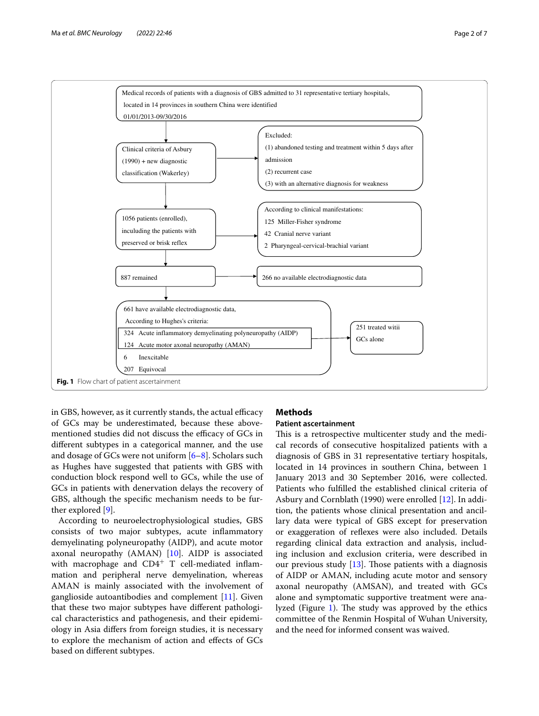



<span id="page-1-0"></span>in GBS, however, as it currently stands, the actual efficacy of GCs may be underestimated, because these abovementioned studies did not discuss the efficacy of GCs in diferent subtypes in a categorical manner, and the use and dosage of GCs were not uniform [\[6](#page-6-5)[–8](#page-6-6)]. Scholars such as Hughes have suggested that patients with GBS with conduction block respond well to GCs, while the use of GCs in patients with denervation delays the recovery of GBS, although the specifc mechanism needs to be further explored [[9\]](#page-6-7).

According to neuroelectrophysiological studies, GBS consists of two major subtypes, acute infammatory demyelinating polyneuropathy (AIDP), and acute motor axonal neuropathy (AMAN) [\[10](#page-6-8)]. AIDP is associated with macrophage and  $CD4^+$  T cell-mediated inflammation and peripheral nerve demyelination, whereas AMAN is mainly associated with the involvement of ganglioside autoantibodies and complement [\[11](#page-6-9)]. Given that these two major subtypes have diferent pathological characteristics and pathogenesis, and their epidemiology in Asia difers from foreign studies, it is necessary to explore the mechanism of action and efects of GCs based on diferent subtypes.

# **Methods**

# **Patient ascertainment**

This is a retrospective multicenter study and the medical records of consecutive hospitalized patients with a diagnosis of GBS in 31 representative tertiary hospitals, located in 14 provinces in southern China, between 1 January 2013 and 30 September 2016, were collected. Patients who fulflled the established clinical criteria of Asbury and Cornblath (1990) were enrolled [[12](#page-6-10)]. In addition, the patients whose clinical presentation and ancillary data were typical of GBS except for preservation or exaggeration of refexes were also included. Details regarding clinical data extraction and analysis, including inclusion and exclusion criteria, were described in our previous study  $[13]$ . Those patients with a diagnosis of AIDP or AMAN, including acute motor and sensory axonal neuropathy (AMSAN), and treated with GCs alone and symptomatic supportive treatment were ana-lyzed (Figure [1](#page-1-0)). The study was approved by the ethics committee of the Renmin Hospital of Wuhan University, and the need for informed consent was waived.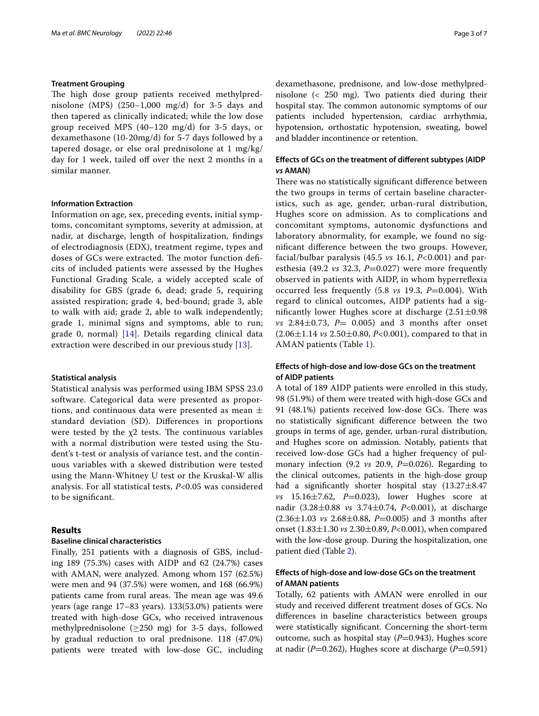# **Treatment Grouping**

The high dose group patients received methylprednisolone (MPS) (250–1,000 mg/d) for 3-5 days and then tapered as clinically indicated; while the low dose group received MPS (40–120 mg/d) for 3-5 days, or dexamethasone (10-20mg/d) for 5-7 days followed by a tapered dosage, or else oral prednisolone at 1 mg/kg/ day for 1 week, tailed off over the next 2 months in a similar manner.

## **Information Extraction**

Information on age, sex, preceding events, initial symptoms, concomitant symptoms, severity at admission, at nadir, at discharge, length of hospitalization, fndings of electrodiagnosis (EDX), treatment regime, types and doses of GCs were extracted. The motor function deficits of included patients were assessed by the Hughes Functional Grading Scale, a widely accepted scale of disability for GBS (grade 6, dead; grade 5, requiring assisted respiration; grade 4, bed-bound; grade 3, able to walk with aid; grade 2, able to walk independently; grade 1, minimal signs and symptoms, able to run; grade 0, normal) [\[14](#page-6-12)]. Details regarding clinical data extraction were described in our previous study [\[13](#page-6-11)].

#### **Statistical analysis**

Statistical analysis was performed using IBM SPSS 23.0 software. Categorical data were presented as proportions, and continuous data were presented as mean  $\pm$ standard deviation (SD). Diferences in proportions were tested by the  $x^2$  tests. The continuous variables with a normal distribution were tested using the Student's t-test or analysis of variance test, and the continuous variables with a skewed distribution were tested using the Mann-Whitney U test or the Kruskal-W allis analysis. For all statistical tests, *P*<0.05 was considered to be signifcant.

# **Results**

#### **Baseline clinical characteristics**

Finally, 251 patients with a diagnosis of GBS, including 189 (75.3%) cases with AIDP and 62 (24.7%) cases with AMAN, were analyzed. Among whom 157 (62.5%) were men and 94 (37.5%) were women, and 168 (66.9%) patients came from rural areas. The mean age was 49.6 years (age range 17–83 years). 133(53.0%) patients were treated with high-dose GCs, who received intravenous methylprednisolone ( $\geq$ 250 mg) for 3-5 days, followed by gradual reduction to oral prednisone. 118 (47.0%) patients were treated with low-dose GC, including dexamethasone, prednisone, and low-dose methylprednisolone (< 250 mg). Two patients died during their hospital stay. The common autonomic symptoms of our patients included hypertension, cardiac arrhythmia, hypotension, orthostatic hypotension, sweating, bowel and bladder incontinence or retention.

# **Efects of GCs on the treatment of diferent subtypes (AIDP**  *vs* **AMAN)**

There was no statistically significant difference between the two groups in terms of certain baseline characteristics, such as age, gender, urban-rural distribution, Hughes score on admission. As to complications and concomitant symptoms, autonomic dysfunctions and laboratory abnormality, for example, we found no signifcant diference between the two groups. However, facial/bulbar paralysis (45.5 *vs* 16.1, *P<*0.001) and paresthesia (49.2  $vs$  32.3,  $P=0.027$ ) were more frequently observed in patients with AIDP, in whom hyperrefexia occurred less frequently (5.8 *vs* 19.3, *P*=0.004). With regard to clinical outcomes, AIDP patients had a significantly lower Hughes score at discharge  $(2.51\pm0.98$ *vs* 2.84 $\pm$ 0.73, *P*= 0.005) and 3 months after onset (2.06±1.14 *vs* 2.50±0.80, *P<*0.001), compared to that in AMAN patients (Table [1\)](#page-3-0).

# **Efects of high‑dose and low‑dose GCs on the treatment of AIDP patients**

A total of 189 AIDP patients were enrolled in this study, 98 (51.9%) of them were treated with high-dose GCs and 91 (48.1%) patients received low-dose GCs. There was no statistically signifcant diference between the two groups in terms of age, gender, urban-rural distribution, and Hughes score on admission. Notably, patients that received low-dose GCs had a higher frequency of pulmonary infection (9.2 *vs* 20.9, *P*=0.026). Regarding to the clinical outcomes, patients in the high-dose group had a significantly shorter hospital stay  $(13.27 \pm 8.47)$ *vs* 15.16±7.62, *P*=0.023), lower Hughes score at nadir (3.28±0.88 *vs* 3.74±0.74, *P<*0.001), at discharge (2.36±1.03 *vs* 2.68±0.88, *P*=0.005) and 3 months after onset (1.83±1.30 *vs* 2.30±0.89, *P<*0.001), when compared with the low-dose group. During the hospitalization, one patient died (Table [2\)](#page-4-0).

# **Efects of high‑dose and low‑dose GCs on the treatment of AMAN patients**

Totally, 62 patients with AMAN were enrolled in our study and received diferent treatment doses of GCs. No diferences in baseline characteristics between groups were statistically signifcant. Concerning the short-term outcome, such as hospital stay (*P*=0.943), Hughes score at nadir (*P*=0.262), Hughes score at discharge (*P*=0.591)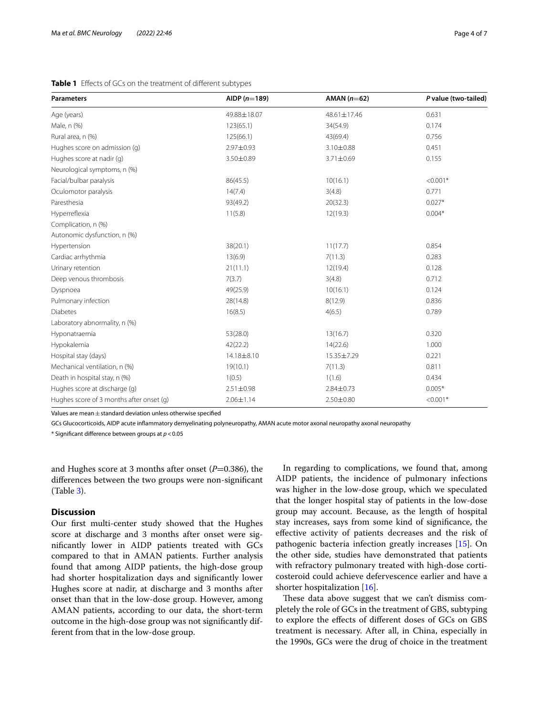# <span id="page-3-0"></span>**Table 1** Efects of GCs on the treatment of diferent subtypes

| <b>Parameters</b>                        | AIDP $(n=189)$  | AMAN $(n=62)$   | P value (two-tailed) |
|------------------------------------------|-----------------|-----------------|----------------------|
| Age (years)                              | 49.88±18.07     | 48.61±17.46     | 0.631                |
| Male, n (%)                              | 123(65.1)       | 34(54.9)        | 0.174                |
| Rural area, n (%)                        | 125(66.1)       | 43(69.4)        | 0.756                |
| Hughes score on admission (g)            | 2.97±0.93       | $3.10 \pm 0.88$ | 0.451                |
| Hughes score at nadir (q)                | 3.50±0.89       | 3.71±0.69       | 0.155                |
| Neurological symptoms, n (%)             |                 |                 |                      |
| Facial/bulbar paralysis                  | 86(45.5)        | 10(16.1)        | $< 0.001*$           |
| Oculomotor paralysis                     | 14(7.4)         | 3(4.8)          | 0.771                |
| Paresthesia                              | 93(49.2)        | 20(32.3)        | $0.027*$             |
| Hyperreflexia                            | 11(5.8)         | 12(19.3)        | $0.004*$             |
| Complication, n (%)                      |                 |                 |                      |
| Autonomic dysfunction, n (%)             |                 |                 |                      |
| Hypertension                             | 38(20.1)        | 11(17.7)        | 0.854                |
| Cardiac arrhythmia                       | 13(6.9)         | 7(11.3)         | 0.283                |
| Urinary retention                        | 21(11.1)        | 12(19.4)        | 0.128                |
| Deep venous thrombosis                   | 7(3.7)          | 3(4.8)          | 0.712                |
| Dyspnoea                                 | 49(25.9)        | 10(16.1)        | 0.124                |
| Pulmonary infection                      | 28(14.8)        | 8(12.9)         | 0.836                |
| <b>Diabetes</b>                          | 16(8.5)         | 4(6.5)          | 0.789                |
| Laboratory abnormality, n (%)            |                 |                 |                      |
| Hyponatraemia                            | 53(28.0)        | 13(16.7)        | 0.320                |
| Hypokalemia                              | 42(22.2)        | 14(22.6)        | 1.000                |
| Hospital stay (days)                     | 14.18±8.10      | 15.35±7.29      | 0.221                |
| Mechanical ventilation, n (%)            | 19(10.1)        | 7(11.3)         | 0.811                |
| Death in hospital stay, n (%)            | 1(0.5)          | 1(1.6)          | 0.434                |
| Hughes score at discharge (g)            | $2.51 \pm 0.98$ | $2.84 \pm 0.73$ | $0.005*$             |
| Hughes score of 3 months after onset (g) | $2.06 \pm 1.14$ | $2.50 \pm 0.80$ | $< 0.001*$           |

Values are mean±standard deviation unless otherwise specifed

GCs Glucocorticoids, AIDP acute infammatory demyelinating polyneuropathy, AMAN acute motor axonal neuropathy axonal neuropathy

\* Signifcant diference between groups at *p*<0.05

and Hughes score at 3 months after onset (*P*=0.386), the diferences between the two groups were non-signifcant (Table [3](#page-5-0)).

#### **Discussion**

Our frst multi-center study showed that the Hughes score at discharge and 3 months after onset were signifcantly lower in AIDP patients treated with GCs compared to that in AMAN patients. Further analysis found that among AIDP patients, the high-dose group had shorter hospitalization days and signifcantly lower Hughes score at nadir, at discharge and 3 months after onset than that in the low-dose group. However, among AMAN patients, according to our data, the short-term outcome in the high-dose group was not signifcantly different from that in the low-dose group.

In regarding to complications, we found that, among AIDP patients, the incidence of pulmonary infections was higher in the low-dose group, which we speculated that the longer hospital stay of patients in the low-dose group may account. Because, as the length of hospital stay increases, says from some kind of signifcance, the efective activity of patients decreases and the risk of pathogenic bacteria infection greatly increases [\[15](#page-6-13)]. On the other side, studies have demonstrated that patients with refractory pulmonary treated with high-dose corticosteroid could achieve defervescence earlier and have a shorter hospitalization [[16\]](#page-6-14).

These data above suggest that we can't dismiss completely the role of GCs in the treatment of GBS, subtyping to explore the efects of diferent doses of GCs on GBS treatment is necessary. After all, in China, especially in the 1990s, GCs were the drug of choice in the treatment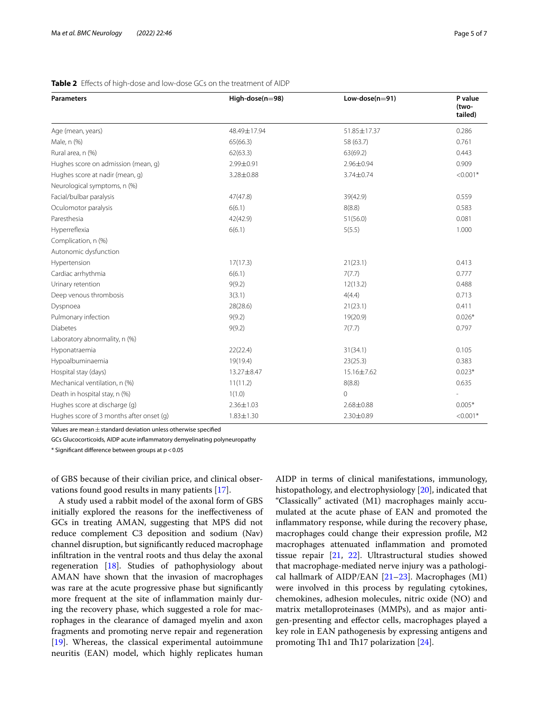| <b>Parameters</b>                        | High-dose(n=98) | Low-dose( $n=91$ ) | P value<br>(two-<br>tailed) |
|------------------------------------------|-----------------|--------------------|-----------------------------|
|                                          |                 |                    |                             |
| Age (mean, years)                        | 48.49±17.94     | 51.85±17.37        | 0.286                       |
| Male, n (%)                              | 65(66.3)        | 58 (63.7)          | 0.761                       |
| Rural area, n (%)                        | 62(63.3)        | 63(69.2)           | 0.443                       |
| Hughes score on admission (mean, q)      | 2.99±0.91       | 2.96±0.94          | 0.909                       |
| Hughes score at nadir (mean, q)          | 3.28±0.88       | 3.74±0.74          | $< 0.001*$                  |
| Neurological symptoms, n (%)             |                 |                    |                             |
| Facial/bulbar paralysis                  | 47(47.8)        | 39(42.9)           | 0.559                       |
| Oculomotor paralysis                     | 6(6.1)          | 8(8.8)             | 0.583                       |
| Paresthesia                              | 42(42.9)        | 51(56.0)           | 0.081                       |
| Hyperreflexia                            | 6(6.1)          | 5(5.5)             | 1.000                       |
| Complication, n (%)                      |                 |                    |                             |
| Autonomic dysfunction                    |                 |                    |                             |
| Hypertension                             | 17(17.3)        | 21(23.1)           | 0.413                       |
| Cardiac arrhythmia                       | 6(6.1)          | 7(7.7)             | 0.777                       |
| Urinary retention                        | 9(9.2)          | 12(13.2)           | 0.488                       |
| Deep venous thrombosis                   | 3(3.1)          | 4(4.4)             | 0.713                       |
| Dyspnoea                                 | 28(28.6)        | 21(23.1)           | 0.411                       |
| Pulmonary infection                      | 9(9.2)          | 19(20.9)           | $0.026*$                    |
| <b>Diabetes</b>                          | 9(9.2)          | 7(7.7)             | 0.797                       |
| Laboratory abnormality, n (%)            |                 |                    |                             |
| Hyponatraemia                            | 22(22.4)        | 31(34.1)           | 0.105                       |
| Hypoalbuminaemia                         | 19(19.4)        | 23(25.3)           | 0.383                       |
| Hospital stay (days)                     | 13.27±8.47      | 15.16±7.62         | $0.023*$                    |
| Mechanical ventilation, n (%)            | 11(11.2)        | 8(8.8)             | 0.635                       |
| Death in hospital stay, n (%)            | 1(1.0)          | $\mathbf{0}$       |                             |
| Hughes score at discharge (g)            | $2.36 \pm 1.03$ | 2.68±0.88          | $0.005*$                    |
| Hughes score of 3 months after onset (g) | $1.83 \pm 1.30$ | 2.30±0.89          | $< 0.001*$                  |

### <span id="page-4-0"></span>**Table 2** Efects of high-dose and low-dose GCs on the treatment of AIDP

Values are mean $\pm$ standard deviation unless otherwise specified

GCs Glucocorticoids, AIDP acute infammatory demyelinating polyneuropathy

 $*$  Significant difference between groups at  $p < 0.05$ 

of GBS because of their civilian price, and clinical observations found good results in many patients [\[17](#page-6-15)].

A study used a rabbit model of the axonal form of GBS initially explored the reasons for the inefectiveness of GCs in treating AMAN, suggesting that MPS did not reduce complement C3 deposition and sodium (Nav) channel disruption, but signifcantly reduced macrophage infltration in the ventral roots and thus delay the axonal regeneration [[18\]](#page-6-16). Studies of pathophysiology about AMAN have shown that the invasion of macrophages was rare at the acute progressive phase but signifcantly more frequent at the site of infammation mainly during the recovery phase, which suggested a role for macrophages in the clearance of damaged myelin and axon fragments and promoting nerve repair and regeneration [[19\]](#page-6-17). Whereas, the classical experimental autoimmune neuritis (EAN) model, which highly replicates human AIDP in terms of clinical manifestations, immunology, histopathology, and electrophysiology [[20](#page-6-18)], indicated that "Classically" activated (M1) macrophages mainly accumulated at the acute phase of EAN and promoted the infammatory response, while during the recovery phase, macrophages could change their expression profle, M2 macrophages attenuated infammation and promoted tissue repair [\[21,](#page-6-19) [22\]](#page-6-20). Ultrastructural studies showed that macrophage-mediated nerve injury was a pathological hallmark of AIDP/EAN [[21–](#page-6-19)[23\]](#page-6-21). Macrophages (M1) were involved in this process by regulating cytokines, chemokines, adhesion molecules, nitric oxide (NO) and matrix metalloproteinases (MMPs), and as major antigen-presenting and efector cells, macrophages played a key role in EAN pathogenesis by expressing antigens and promoting Th1 and Th17 polarization [\[24](#page-6-22)].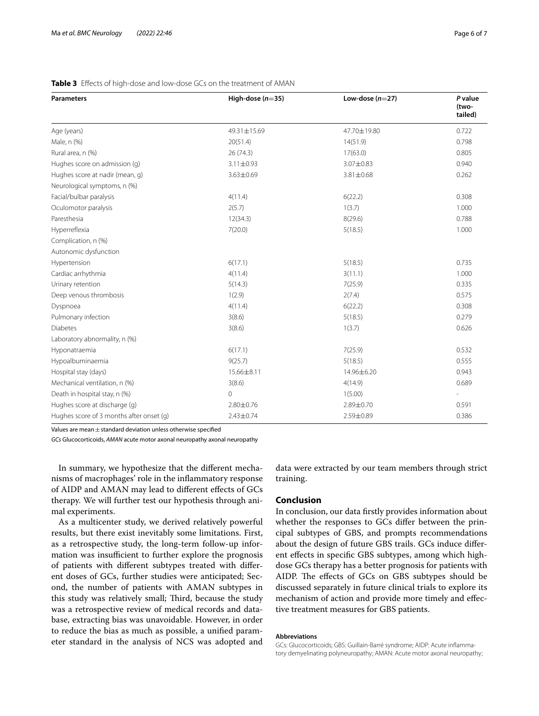| <b>Parameters</b>                        | High-dose $(n=35)$ | Low-dose $(n=27)$ | P value<br>(two-<br>tailed) |
|------------------------------------------|--------------------|-------------------|-----------------------------|
|                                          |                    |                   |                             |
| Age (years)                              | 49.31±15.69        | 47.70±19.80       | 0.722                       |
| Male, n (%)                              | 20(51.4)           | 14(51.9)          | 0.798                       |
| Rural area, n (%)                        | 26(74.3)           | 17(63.0)          | 0.805                       |
| Hughes score on admission (g)            | $3.11 \pm 0.93$    | 3.07±0.83         | 0.940                       |
| Hughes score at nadir (mean, g)          | 3.63±0.69          | 3.81±0.68         | 0.262                       |
| Neurological symptoms, n (%)             |                    |                   |                             |
| Facial/bulbar paralysis                  | 4(11.4)            | 6(22.2)           | 0.308                       |
| Oculomotor paralysis                     | 2(5.7)             | 1(3.7)            | 1.000                       |
| Paresthesia                              | 12(34.3)           | 8(29.6)           | 0.788                       |
| Hyperreflexia                            | 7(20.0)            | 5(18.5)           | 1.000                       |
| Complication, n (%)                      |                    |                   |                             |
| Autonomic dysfunction                    |                    |                   |                             |
| Hypertension                             | 6(17.1)            | 5(18.5)           | 0.735                       |
| Cardiac arrhythmia                       | 4(11.4)            | 3(11.1)           | 1.000                       |
| Urinary retention                        | 5(14.3)            | 7(25.9)           | 0.335                       |
| Deep venous thrombosis                   | 1(2.9)             | 2(7.4)            | 0.575                       |
| Dyspnoea                                 | 4(11.4)            | 6(22.2)           | 0.308                       |
| Pulmonary infection                      | 3(8.6)             | 5(18.5)           | 0.279                       |
| <b>Diabetes</b>                          | 3(8.6)             | 1(3.7)            | 0.626                       |
| Laboratory abnormality, n (%)            |                    |                   |                             |
| Hyponatraemia                            | 6(17.1)            | 7(25.9)           | 0.532                       |
| Hypoalbuminaemia                         | 9(25.7)            | 5(18.5)           | 0.555                       |
| Hospital stay (days)                     | 15.66±8.11         | 14.96±6.20        | 0.943                       |
| Mechanical ventilation, n (%)            | 3(8.6)             | 4(14.9)           | 0.689                       |
| Death in hospital stay, n (%)            | $\mathbf{0}$       | 1(5.00)           |                             |
| Hughes score at discharge (g)            | 2.80±0.76          | 2.89±0.70         | 0.591                       |
| Hughes score of 3 months after onset (g) | 2.43±0.74          | 2.59±0.89         | 0.386                       |

### <span id="page-5-0"></span>**Table 3** Efects of high-dose and low-dose GCs on the treatment of AMAN

Values are mean $\pm$ standard deviation unless otherwise specified

*GCs* Glucocorticoids, *AMAN* acute motor axonal neuropathy axonal neuropathy

In summary, we hypothesize that the diferent mechanisms of macrophages' role in the infammatory response of AIDP and AMAN may lead to diferent efects of GCs therapy. We will further test our hypothesis through animal experiments.

As a multicenter study, we derived relatively powerful results, but there exist inevitably some limitations. First, as a retrospective study, the long-term follow-up information was insufficient to further explore the prognosis of patients with diferent subtypes treated with diferent doses of GCs, further studies were anticipated; Second, the number of patients with AMAN subtypes in this study was relatively small; Third, because the study was a retrospective review of medical records and database, extracting bias was unavoidable. However, in order to reduce the bias as much as possible, a unifed parameter standard in the analysis of NCS was adopted and data were extracted by our team members through strict training.

#### **Conclusion**

In conclusion, our data frstly provides information about whether the responses to GCs difer between the principal subtypes of GBS, and prompts recommendations about the design of future GBS trails. GCs induce diferent efects in specifc GBS subtypes, among which highdose GCs therapy has a better prognosis for patients with AIDP. The effects of GCs on GBS subtypes should be discussed separately in future clinical trials to explore its mechanism of action and provide more timely and efective treatment measures for GBS patients.

#### **Abbreviations**

GCs: Glucocorticoids; GBS: Guillain-Barré syndrome; AIDP: Acute infammatory demyelinating polyneuropathy; AMAN: Acute motor axonal neuropathy;